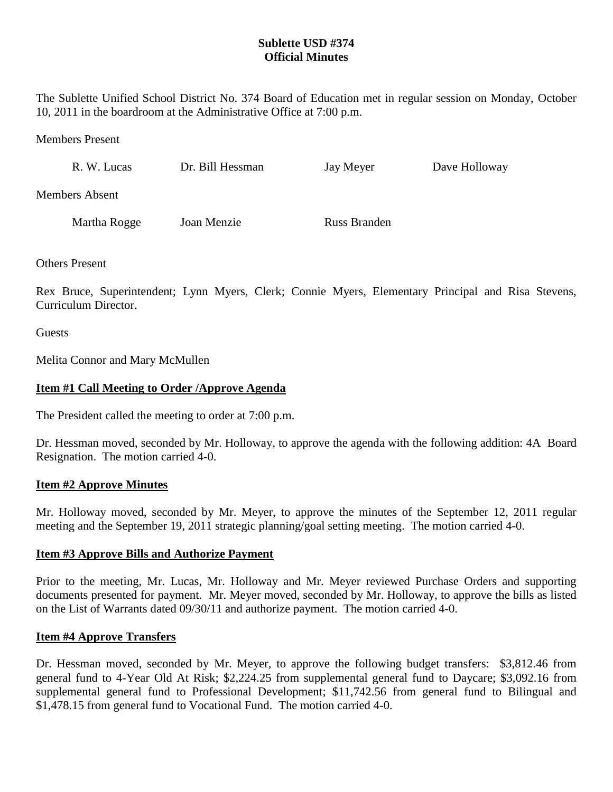# **Sublette USD #374 Official Minutes**

The Sublette Unified School District No. 374 Board of Education met in regular session on Monday, October 10, 2011 in the boardroom at the Administrative Office at 7:00 p.m.

Members Present

| R. W. Lucas           | Dr. Bill Hessman | Jay Meyer    | Dave Holloway |
|-----------------------|------------------|--------------|---------------|
| <b>Members Absent</b> |                  |              |               |
| Martha Rogge          | Joan Menzie      | Russ Branden |               |

Others Present

Rex Bruce, Superintendent; Lynn Myers, Clerk; Connie Myers, Elementary Principal and Risa Stevens, Curriculum Director.

**Guests** 

Melita Connor and Mary McMullen

### **Item #1 Call Meeting to Order /Approve Agenda**

The President called the meeting to order at 7:00 p.m.

Dr. Hessman moved, seconded by Mr. Holloway, to approve the agenda with the following addition: 4A Board Resignation. The motion carried 4-0.

#### **Item #2 Approve Minutes**

Mr. Holloway moved, seconded by Mr. Meyer, to approve the minutes of the September 12, 2011 regular meeting and the September 19, 2011 strategic planning/goal setting meeting. The motion carried 4-0.

### **Item #3 Approve Bills and Authorize Payment**

Prior to the meeting, Mr. Lucas, Mr. Holloway and Mr. Meyer reviewed Purchase Orders and supporting documents presented for payment. Mr. Meyer moved, seconded by Mr. Holloway, to approve the bills as listed on the List of Warrants dated 09/30/11 and authorize payment. The motion carried 4-0.

### **Item #4 Approve Transfers**

Dr. Hessman moved, seconded by Mr. Meyer, to approve the following budget transfers: \$3,812.46 from general fund to 4-Year Old At Risk; \$2,224.25 from supplemental general fund to Daycare; \$3,092.16 from supplemental general fund to Professional Development; \$11,742.56 from general fund to Bilingual and \$1,478.15 from general fund to Vocational Fund. The motion carried 4-0.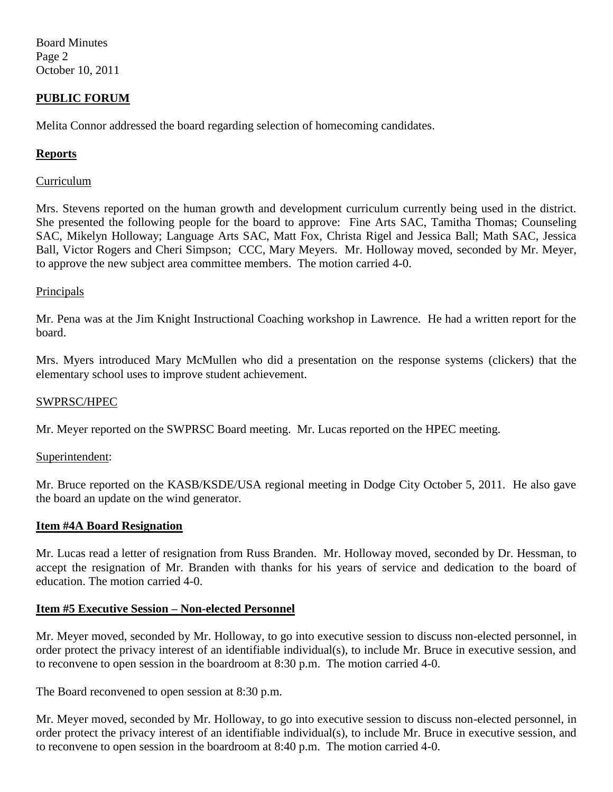Board Minutes Page 2 October 10, 2011

## **PUBLIC FORUM**

Melita Connor addressed the board regarding selection of homecoming candidates.

### **Reports**

### Curriculum

Mrs. Stevens reported on the human growth and development curriculum currently being used in the district. She presented the following people for the board to approve: Fine Arts SAC, Tamitha Thomas; Counseling SAC, Mikelyn Holloway; Language Arts SAC, Matt Fox, Christa Rigel and Jessica Ball; Math SAC, Jessica Ball, Victor Rogers and Cheri Simpson; CCC, Mary Meyers. Mr. Holloway moved, seconded by Mr. Meyer, to approve the new subject area committee members. The motion carried 4-0.

### **Principals**

Mr. Pena was at the Jim Knight Instructional Coaching workshop in Lawrence. He had a written report for the board.

Mrs. Myers introduced Mary McMullen who did a presentation on the response systems (clickers) that the elementary school uses to improve student achievement.

#### SWPRSC/HPEC

Mr. Meyer reported on the SWPRSC Board meeting. Mr. Lucas reported on the HPEC meeting.

### Superintendent:

Mr. Bruce reported on the KASB/KSDE/USA regional meeting in Dodge City October 5, 2011. He also gave the board an update on the wind generator.

#### **Item #4A Board Resignation**

Mr. Lucas read a letter of resignation from Russ Branden. Mr. Holloway moved, seconded by Dr. Hessman, to accept the resignation of Mr. Branden with thanks for his years of service and dedication to the board of education. The motion carried 4-0.

### **Item #5 Executive Session – Non-elected Personnel**

Mr. Meyer moved, seconded by Mr. Holloway, to go into executive session to discuss non-elected personnel, in order protect the privacy interest of an identifiable individual(s), to include Mr. Bruce in executive session, and to reconvene to open session in the boardroom at 8:30 p.m. The motion carried 4-0.

The Board reconvened to open session at 8:30 p.m.

Mr. Meyer moved, seconded by Mr. Holloway, to go into executive session to discuss non-elected personnel, in order protect the privacy interest of an identifiable individual(s), to include Mr. Bruce in executive session, and to reconvene to open session in the boardroom at 8:40 p.m. The motion carried 4-0.